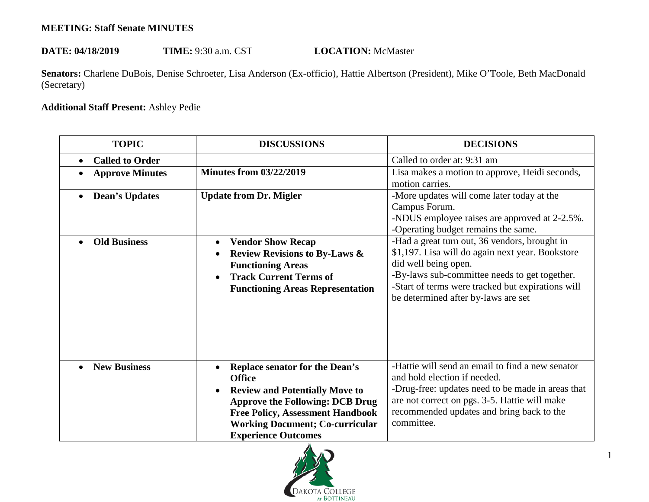## **MEETING: Staff Senate MINUTES**

## DATE: 04/18/2019 TIME: 9:30 a.m. CST **LOCATION:** McMaster

Senators: Charlene DuBois, Denise Schroeter, Lisa Anderson (Ex-officio), Hattie Albertson (President), Mike O'Toole, Beth MacDonald (Secretary)

## **Additional Staff Present:** Ashley Pedie

| <b>TOPIC</b>                        | <b>DISCUSSIONS</b>                                                                                                                                                                                                                                    | <b>DECISIONS</b>                                                                                                                                                                                                                                                       |
|-------------------------------------|-------------------------------------------------------------------------------------------------------------------------------------------------------------------------------------------------------------------------------------------------------|------------------------------------------------------------------------------------------------------------------------------------------------------------------------------------------------------------------------------------------------------------------------|
| <b>Called to Order</b><br>$\bullet$ |                                                                                                                                                                                                                                                       | Called to order at: 9:31 am                                                                                                                                                                                                                                            |
| <b>Approve Minutes</b>              | <b>Minutes from 03/22/2019</b>                                                                                                                                                                                                                        | Lisa makes a motion to approve, Heidi seconds,<br>motion carries.                                                                                                                                                                                                      |
| <b>Dean's Updates</b><br>$\bullet$  | <b>Update from Dr. Migler</b>                                                                                                                                                                                                                         | -More updates will come later today at the<br>Campus Forum.<br>-NDUS employee raises are approved at 2-2.5%.<br>-Operating budget remains the same.                                                                                                                    |
| <b>Old Business</b>                 | <b>Vendor Show Recap</b><br><b>Review Revisions to By-Laws &amp;</b><br><b>Functioning Areas</b><br><b>Track Current Terms of</b><br><b>Functioning Areas Representation</b>                                                                          | -Had a great turn out, 36 vendors, brought in<br>\$1,197. Lisa will do again next year. Bookstore<br>did well being open.<br>-By-laws sub-committee needs to get together.<br>-Start of terms were tracked but expirations will<br>be determined after by-laws are set |
| <b>New Business</b>                 | Replace senator for the Dean's<br><b>Office</b><br><b>Review and Potentially Move to</b><br><b>Approve the Following: DCB Drug</b><br><b>Free Policy, Assessment Handbook</b><br><b>Working Document; Co-curricular</b><br><b>Experience Outcomes</b> | -Hattie will send an email to find a new senator<br>and hold election if needed.<br>-Drug-free: updates need to be made in areas that<br>are not correct on pgs. 3-5. Hattie will make<br>recommended updates and bring back to the<br>committee.                      |